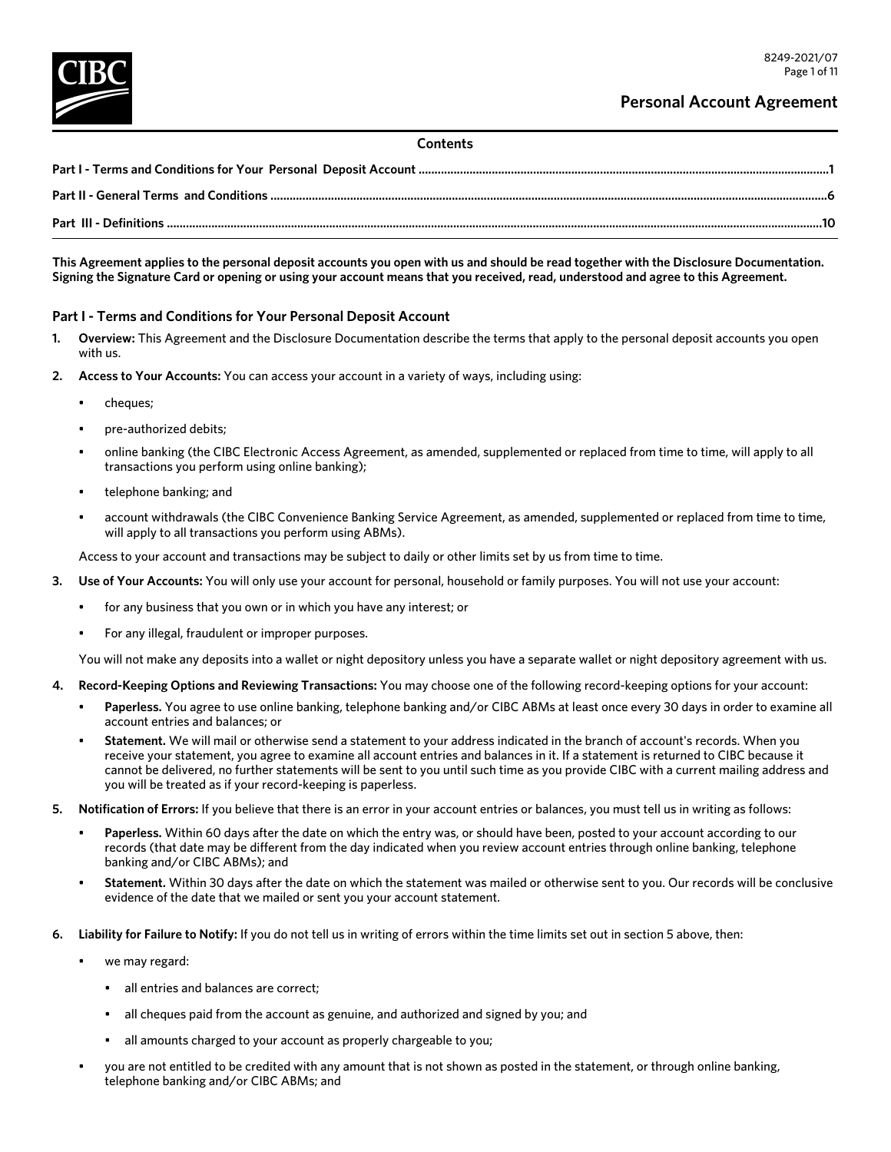## **Contents**

**This Agreement applies to the personal deposit accounts you open with us and should be read together with the Disclosure Documentation. Signing the Signature Card or opening or using your account means that you received, read, understood and agree to this Agreement.**

# **Part I - Terms and Conditions for Your Personal Deposit Account**

- **1. Overview:** This Agreement and the Disclosure Documentation describe the terms that apply to the personal deposit accounts you open with us.
- **2. Access to Your Accounts:** You can access your account in a variety of ways, including using:
	- cheques;
	- pre-authorized debits;
	- online banking (the CIBC Electronic Access Agreement, as amended, supplemented or replaced from time to time, will apply to all transactions you perform using online banking);
	- telephone banking; and
	- account withdrawals (the CIBC Convenience Banking Service Agreement, as amended, supplemented or replaced from time to time, will apply to all transactions you perform using ABMs).

Access to your account and transactions may be subject to daily or other limits set by us from time to time.

- **3. Use of Your Accounts:** You will only use your account for personal, household or family purposes. You will not use your account:
	- for any business that you own or in which you have any interest; or
	- For any illegal, fraudulent or improper purposes.

You will not make any deposits into a wallet or night depository unless you have a separate wallet or night depository agreement with us.

- **4. Record-Keeping Options and Reviewing Transactions:** You may choose one of the following record-keeping options for your account:
	- **Paperless.** You agree to use online banking, telephone banking and/or CIBC ABMs at least once every 30 days in order to examine all account entries and balances; or
	- **Statement.** We will mail or otherwise send a statement to your address indicated in the branch of account's records. When you receive your statement, you agree to examine all account entries and balances in it. If a statement is returned to CIBC because it cannot be delivered, no further statements will be sent to you until such time as you provide CIBC with a current mailing address and you will be treated as if your record-keeping is paperless.
- **5. Notification of Errors:** If you believe that there is an error in your account entries or balances, you must tell us in writing as follows:
	- Paperless. Within 60 days after the date on which the entry was, or should have been, posted to your account according to our records (that date may be different from the day indicated when you review account entries through online banking, telephone banking and/or CIBC ABMs); and
	- **Statement.** Within 30 days after the date on which the statement was mailed or otherwise sent to you. Our records will be conclusive evidence of the date that we mailed or sent you your account statement.
- **6. Liability for Failure to Notify:** If you do not tell us in writing of errors within the time limits set out in section 5 above, then:
	- we may regard:
		- all entries and balances are correct;
		- all cheques paid from the account as genuine, and authorized and signed by you; and
		- all amounts charged to your account as properly chargeable to you;
	- you are not entitled to be credited with any amount that is not shown as posted in the statement, or through online banking, telephone banking and/or CIBC ABMs; and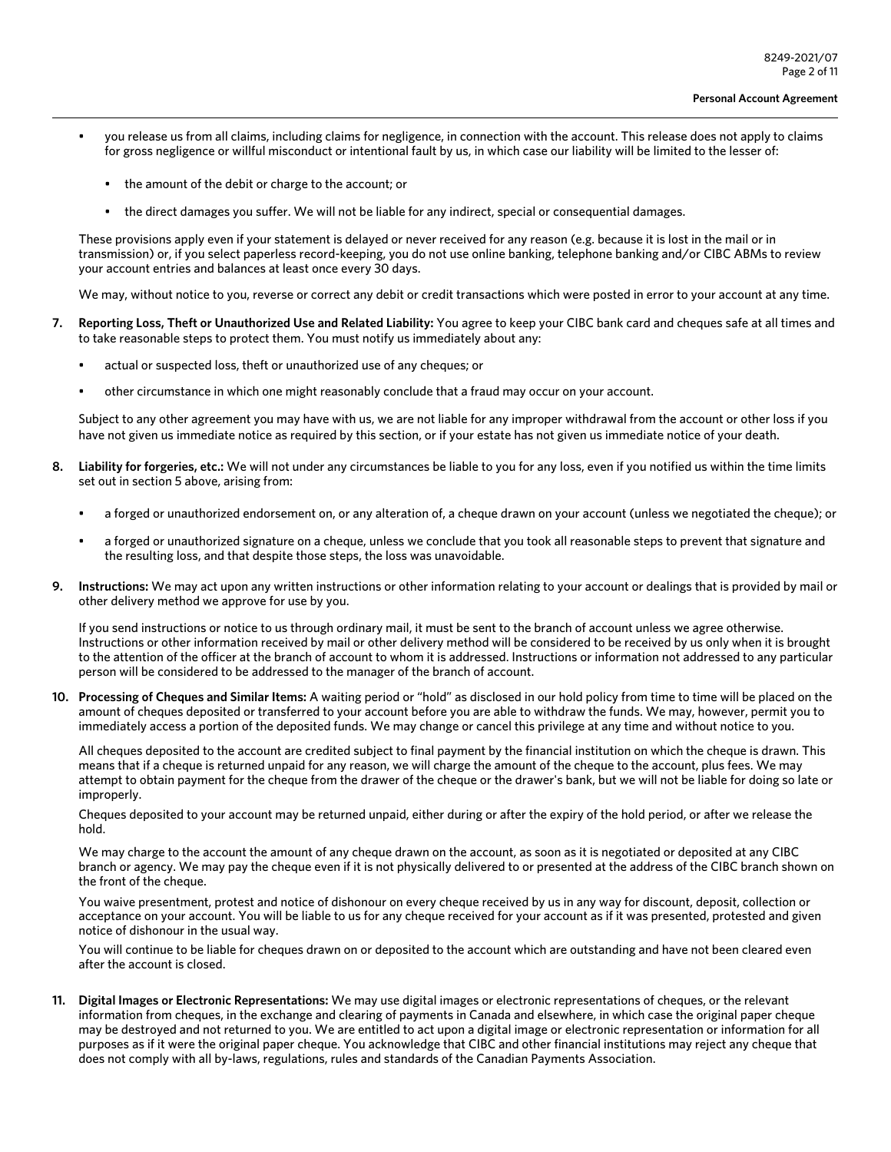- you release us from all claims, including claims for negligence, in connection with the account. This release does not apply to claims for gross negligence or willful misconduct or intentional fault by us, in which case our liability will be limited to the lesser of:
	- the amount of the debit or charge to the account; or
	- the direct damages you suffer. We will not be liable for any indirect, special or consequential damages.

These provisions apply even if your statement is delayed or never received for any reason (e.g. because it is lost in the mail or in transmission) or, if you select paperless record-keeping, you do not use online banking, telephone banking and/or CIBC ABMs to review your account entries and balances at least once every 30 days.

We may, without notice to you, reverse or correct any debit or credit transactions which were posted in error to your account at any time.

- **7. Reporting Loss, Theft or Unauthorized Use and Related Liability:** You agree to keep your CIBC bank card and cheques safe at all times and to take reasonable steps to protect them. You must notify us immediately about any:
	- actual or suspected loss, theft or unauthorized use of any cheques; or
	- other circumstance in which one might reasonably conclude that a fraud may occur on your account.

Subject to any other agreement you may have with us, we are not liable for any improper withdrawal from the account or other loss if you have not given us immediate notice as required by this section, or if your estate has not given us immediate notice of your death.

- **8. Liability for forgeries, etc.:** We will not under any circumstances be liable to you for any loss, even if you notified us within the time limits set out in section 5 above, arising from:
	- a forged or unauthorized endorsement on, or any alteration of, a cheque drawn on your account (unless we negotiated the cheque); or
	- a forged or unauthorized signature on a cheque, unless we conclude that you took all reasonable steps to prevent that signature and the resulting loss, and that despite those steps, the loss was unavoidable.
- **9. Instructions:** We may act upon any written instructions or other information relating to your account or dealings that is provided by mail or other delivery method we approve for use by you.

If you send instructions or notice to us through ordinary mail, it must be sent to the branch of account unless we agree otherwise. Instructions or other information received by mail or other delivery method will be considered to be received by us only when it is brought to the attention of the officer at the branch of account to whom it is addressed. Instructions or information not addressed to any particular person will be considered to be addressed to the manager of the branch of account.

**10. Processing of Cheques and Similar Items:** A waiting period or "hold" as disclosed in our hold policy from time to time will be placed on the amount of cheques deposited or transferred to your account before you are able to withdraw the funds. We may, however, permit you to immediately access a portion of the deposited funds. We may change or cancel this privilege at any time and without notice to you.

All cheques deposited to the account are credited subject to final payment by the financial institution on which the cheque is drawn. This means that if a cheque is returned unpaid for any reason, we will charge the amount of the cheque to the account, plus fees. We may attempt to obtain payment for the cheque from the drawer of the cheque or the drawer's bank, but we will not be liable for doing so late or improperly.

Cheques deposited to your account may be returned unpaid, either during or after the expiry of the hold period, or after we release the hold.

We may charge to the account the amount of any cheque drawn on the account, as soon as it is negotiated or deposited at any CIBC branch or agency. We may pay the cheque even if it is not physically delivered to or presented at the address of the CIBC branch shown on the front of the cheque.

You waive presentment, protest and notice of dishonour on every cheque received by us in any way for discount, deposit, collection or acceptance on your account. You will be liable to us for any cheque received for your account as if it was presented, protested and given notice of dishonour in the usual way.

You will continue to be liable for cheques drawn on or deposited to the account which are outstanding and have not been cleared even after the account is closed.

**11. Digital Images or Electronic Representations:** We may use digital images or electronic representations of cheques, or the relevant information from cheques, in the exchange and clearing of payments in Canada and elsewhere, in which case the original paper cheque may be destroyed and not returned to you. We are entitled to act upon a digital image or electronic representation or information for all purposes as if it were the original paper cheque. You acknowledge that CIBC and other financial institutions may reject any cheque that does not comply with all by-laws, regulations, rules and standards of the Canadian Payments Association.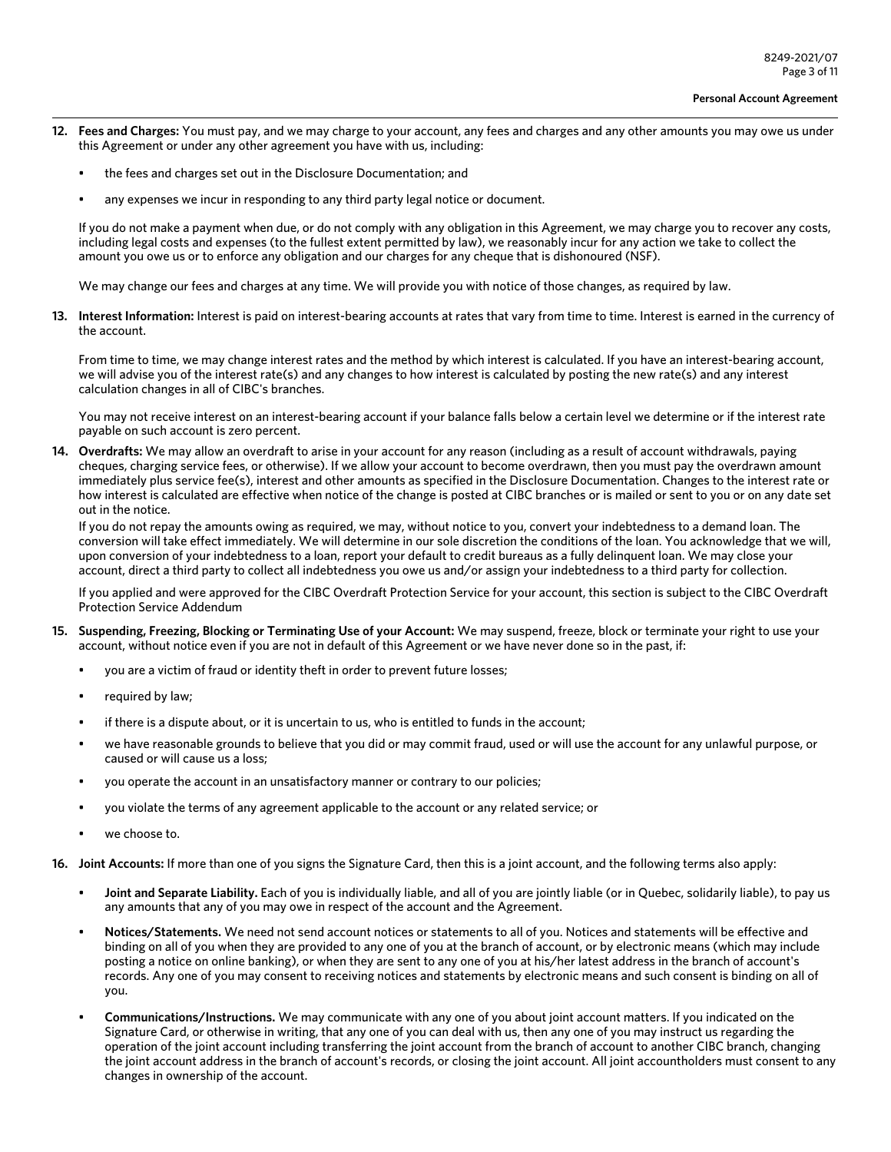- **12. Fees and Charges:** You must pay, and we may charge to your account, any fees and charges and any other amounts you may owe us under this Agreement or under any other agreement you have with us, including:
	- the fees and charges set out in the Disclosure Documentation; and
	- any expenses we incur in responding to any third party legal notice or document.

If you do not make a payment when due, or do not comply with any obligation in this Agreement, we may charge you to recover any costs, including legal costs and expenses (to the fullest extent permitted by law), we reasonably incur for any action we take to collect the amount you owe us or to enforce any obligation and our charges for any cheque that is dishonoured (NSF).

We may change our fees and charges at any time. We will provide you with notice of those changes, as required by law.

**13. Interest Information:** Interest is paid on interest-bearing accounts at rates that vary from time to time. Interest is earned in the currency of the account.

From time to time, we may change interest rates and the method by which interest is calculated. If you have an interest-bearing account, we will advise you of the interest rate(s) and any changes to how interest is calculated by posting the new rate(s) and any interest calculation changes in all of CIBC's branches.

You may not receive interest on an interest-bearing account if your balance falls below a certain level we determine or if the interest rate payable on such account is zero percent.

**14. Overdrafts:** We may allow an overdraft to arise in your account for any reason (including as a result of account withdrawals, paying cheques, charging service fees, or otherwise). If we allow your account to become overdrawn, then you must pay the overdrawn amount immediately plus service fee(s), interest and other amounts as specified in the Disclosure Documentation. Changes to the interest rate or how interest is calculated are effective when notice of the change is posted at CIBC branches or is mailed or sent to you or on any date set out in the notice.

If you do not repay the amounts owing as required, we may, without notice to you, convert your indebtedness to a demand loan. The conversion will take effect immediately. We will determine in our sole discretion the conditions of the loan. You acknowledge that we will, upon conversion of your indebtedness to a loan, report your default to credit bureaus as a fully delinquent loan. We may close your account, direct a third party to collect all indebtedness you owe us and/or assign your indebtedness to a third party for collection.

If you applied and were approved for the CIBC Overdraft Protection Service for your account, this section is subject to the CIBC Overdraft Protection Service Addendum

- **15. Suspending, Freezing, Blocking or Terminating Use of your Account:** We may suspend, freeze, block or terminate your right to use your account, without notice even if you are not in default of this Agreement or we have never done so in the past, if:
	- you are a victim of fraud or identity theft in order to prevent future losses;
	- required by law;
	- if there is a dispute about, or it is uncertain to us, who is entitled to funds in the account;
	- we have reasonable grounds to believe that you did or may commit fraud, used or will use the account for any unlawful purpose, or caused or will cause us a loss;
	- you operate the account in an unsatisfactory manner or contrary to our policies;
	- you violate the terms of any agreement applicable to the account or any related service; or
	- we choose to.
- **16. Joint Accounts:** If more than one of you signs the Signature Card, then this is a joint account, and the following terms also apply:
	- **Joint and Separate Liability.** Each of you is individually liable, and all of you are jointly liable (or in Quebec, solidarily liable), to pay us any amounts that any of you may owe in respect of the account and the Agreement.
	- **Notices/Statements.** We need not send account notices or statements to all of you. Notices and statements will be effective and binding on all of you when they are provided to any one of you at the branch of account, or by electronic means (which may include posting a notice on online banking), or when they are sent to any one of you at his/her latest address in the branch of account's records. Any one of you may consent to receiving notices and statements by electronic means and such consent is binding on all of you.
	- **Communications/Instructions.** We may communicate with any one of you about joint account matters. If you indicated on the Signature Card, or otherwise in writing, that any one of you can deal with us, then any one of you may instruct us regarding the operation of the joint account including transferring the joint account from the branch of account to another CIBC branch, changing the joint account address in the branch of account's records, or closing the joint account. All joint accountholders must consent to any changes in ownership of the account.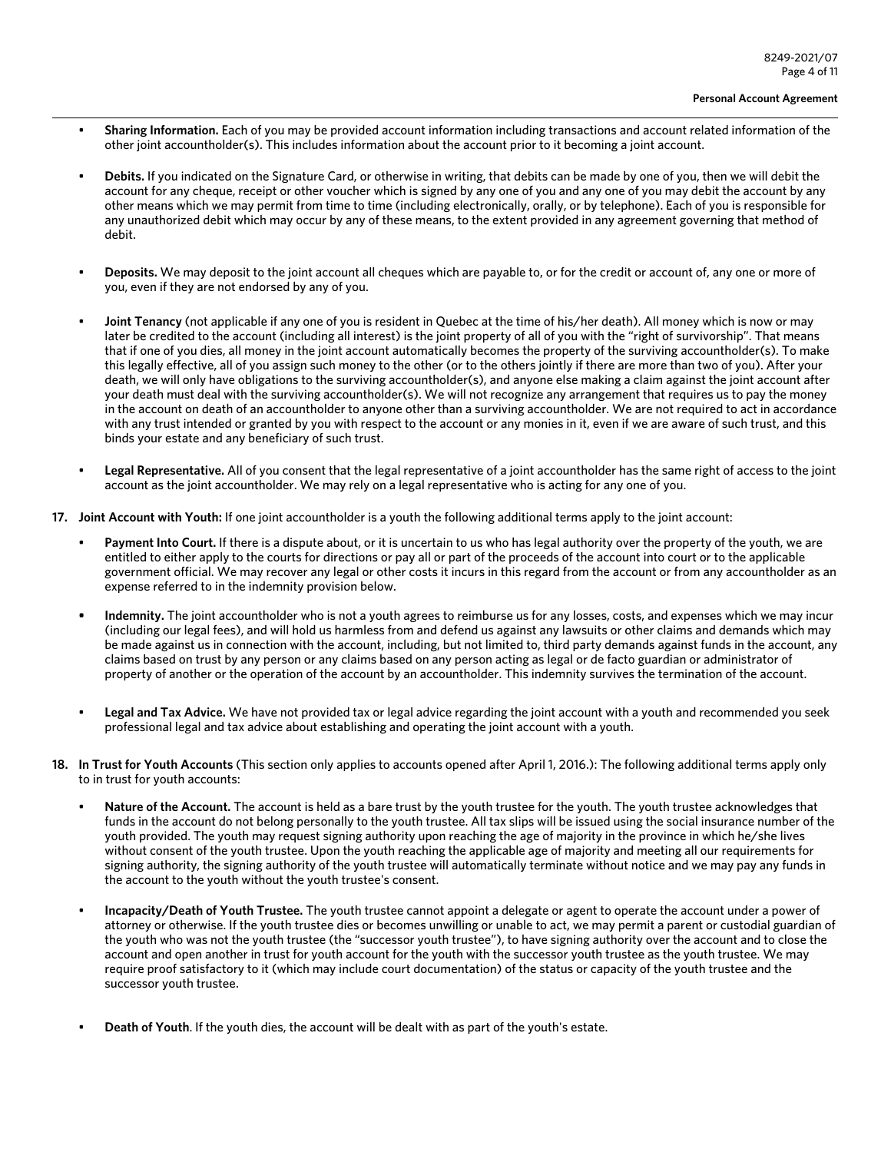- **Sharing Information.** Each of you may be provided account information including transactions and account related information of the other joint accountholder(s). This includes information about the account prior to it becoming a joint account.
- **Debits.** If you indicated on the Signature Card, or otherwise in writing, that debits can be made by one of you, then we will debit the account for any cheque, receipt or other voucher which is signed by any one of you and any one of you may debit the account by any other means which we may permit from time to time (including electronically, orally, or by telephone). Each of you is responsible for any unauthorized debit which may occur by any of these means, to the extent provided in any agreement governing that method of debit.
- **Deposits.** We may deposit to the joint account all cheques which are payable to, or for the credit or account of, any one or more of you, even if they are not endorsed by any of you.
- **Joint Tenancy** (not applicable if any one of you is resident in Quebec at the time of his/her death). All money which is now or may later be credited to the account (including all interest) is the joint property of all of you with the "right of survivorship". That means that if one of you dies, all money in the joint account automatically becomes the property of the surviving accountholder(s). To make this legally effective, all of you assign such money to the other (or to the others jointly if there are more than two of you). After your death, we will only have obligations to the surviving accountholder(s), and anyone else making a claim against the joint account after your death must deal with the surviving accountholder(s). We will not recognize any arrangement that requires us to pay the money in the account on death of an accountholder to anyone other than a surviving accountholder. We are not required to act in accordance with any trust intended or granted by you with respect to the account or any monies in it, even if we are aware of such trust, and this binds your estate and any beneficiary of such trust.
- **Legal Representative.** All of you consent that the legal representative of a joint accountholder has the same right of access to the joint account as the joint accountholder. We may rely on a legal representative who is acting for any one of you.
- **17. Joint Account with Youth:** If one joint accountholder is a youth the following additional terms apply to the joint account:
	- **Payment Into Court.** If there is a dispute about, or it is uncertain to us who has legal authority over the property of the youth, we are entitled to either apply to the courts for directions or pay all or part of the proceeds of the account into court or to the applicable government official. We may recover any legal or other costs it incurs in this regard from the account or from any accountholder as an expense referred to in the indemnity provision below.
	- **• Indemnity.** The joint accountholder who is not a youth agrees to reimburse us for any losses, costs, and expenses which we may incur (including our legal fees), and will hold us harmless from and defend us against any lawsuits or other claims and demands which may be made against us in connection with the account, including, but not limited to, third party demands against funds in the account, any claims based on trust by any person or any claims based on any person acting as legal or de facto guardian or administrator of property of another or the operation of the account by an accountholder. This indemnity survives the termination of the account.
	- **Legal and Tax Advice.** We have not provided tax or legal advice regarding the joint account with a youth and recommended you seek professional legal and tax advice about establishing and operating the joint account with a youth.
- **18. In Trust for Youth Accounts** (This section only applies to accounts opened after April 1, 2016.): The following additional terms apply only to in trust for youth accounts:
	- **Nature of the Account.** The account is held as a bare trust by the youth trustee for the youth. The youth trustee acknowledges that funds in the account do not belong personally to the youth trustee. All tax slips will be issued using the social insurance number of the youth provided. The youth may request signing authority upon reaching the age of majority in the province in which he/she lives without consent of the youth trustee. Upon the youth reaching the applicable age of majority and meeting all our requirements for signing authority, the signing authority of the youth trustee will automatically terminate without notice and we may pay any funds in the account to the youth without the youth trustee's consent.
	- **Incapacity/Death of Youth Trustee.** The youth trustee cannot appoint a delegate or agent to operate the account under a power of attorney or otherwise. If the youth trustee dies or becomes unwilling or unable to act, we may permit a parent or custodial guardian of the youth who was not the youth trustee (the "successor youth trustee"), to have signing authority over the account and to close the account and open another in trust for youth account for the youth with the successor youth trustee as the youth trustee. We may require proof satisfactory to it (which may include court documentation) of the status or capacity of the youth trustee and the successor youth trustee.
	- **Death of Youth**. If the youth dies, the account will be dealt with as part of the youth's estate.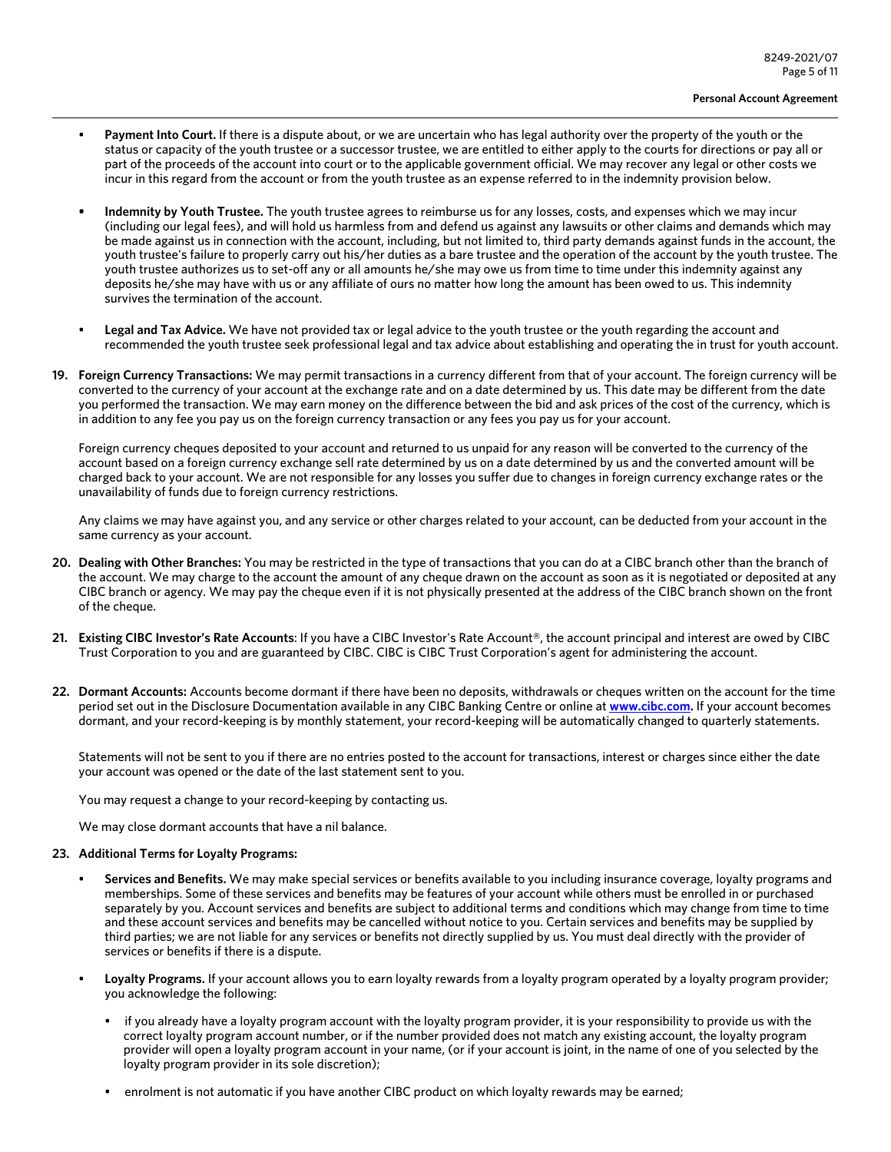- **Payment Into Court.** If there is a dispute about, or we are uncertain who has legal authority over the property of the youth or the status or capacity of the youth trustee or a successor trustee, we are entitled to either apply to the courts for directions or pay all or part of the proceeds of the account into court or to the applicable government official. We may recover any legal or other costs we incur in this regard from the account or from the youth trustee as an expense referred to in the indemnity provision below.
- **• Indemnity by Youth Trustee.** The youth trustee agrees to reimburse us for any losses, costs, and expenses which we may incur (including our legal fees), and will hold us harmless from and defend us against any lawsuits or other claims and demands which may be made against us in connection with the account, including, but not limited to, third party demands against funds in the account, the youth trustee's failure to properly carry out his/her duties as a bare trustee and the operation of the account by the youth trustee. The youth trustee authorizes us to set-off any or all amounts he/she may owe us from time to time under this indemnity against any deposits he/she may have with us or any affiliate of ours no matter how long the amount has been owed to us. This indemnity survives the termination of the account.
- Legal and Tax Advice. We have not provided tax or legal advice to the youth trustee or the youth regarding the account and recommended the youth trustee seek professional legal and tax advice about establishing and operating the in trust for youth account.
- **19. Foreign Currency Transactions:** We may permit transactions in a currency different from that of your account. The foreign currency will be converted to the currency of your account at the exchange rate and on a date determined by us. This date may be different from the date you performed the transaction. We may earn money on the difference between the bid and ask prices of the cost of the currency, which is in addition to any fee you pay us on the foreign currency transaction or any fees you pay us for your account.

Foreign currency cheques deposited to your account and returned to us unpaid for any reason will be converted to the currency of the account based on a foreign currency exchange sell rate determined by us on a date determined by us and the converted amount will be charged back to your account. We are not responsible for any losses you suffer due to changes in foreign currency exchange rates or the unavailability of funds due to foreign currency restrictions.

Any claims we may have against you, and any service or other charges related to your account, can be deducted from your account in the same currency as your account.

- **20. Dealing with Other Branches:** You may be restricted in the type of transactions that you can do at a CIBC branch other than the branch of the account. We may charge to the account the amount of any cheque drawn on the account as soon as it is negotiated or deposited at any CIBC branch or agency. We may pay the cheque even if it is not physically presented at the address of the CIBC branch shown on the front of the cheque.
- 21. **Existing CIBC Investor's Rate Accounts**: If you have a CIBC Investor's Rate Account®, the account principal and interest are owed by CIBC Trust Corporation to you and are guaranteed by CIBC. CIBC is CIBC Trust Corporation's agent for administering the account.
- **22. Dormant Accounts:** Accounts become dormant if there have been no deposits, withdrawals or cheques written on the account for the time period set out in the Disclosure Documentation available in any CIBC Banking Centre or online at **[www.cibc.com.](www.cibc.com)** If your account becomes dormant, and your record-keeping is by monthly statement, your record-keeping will be automatically changed to quarterly statements.

Statements will not be sent to you if there are no entries posted to the account for transactions, interest or charges since either the date your account was opened or the date of the last statement sent to you.

You may request a change to your record-keeping by contacting us.

We may close dormant accounts that have a nil balance.

### **23. Additional Terms for Loyalty Programs:**

- **Services and Benefits.** We may make special services or benefits available to you including insurance coverage, loyalty programs and memberships. Some of these services and benefits may be features of your account while others must be enrolled in or purchased separately by you. Account services and benefits are subject to additional terms and conditions which may change from time to time and these account services and benefits may be cancelled without notice to you. Certain services and benefits may be supplied by third parties; we are not liable for any services or benefits not directly supplied by us. You must deal directly with the provider of services or benefits if there is a dispute.
- **Loyalty Programs.** If your account allows you to earn loyalty rewards from a loyalty program operated by a loyalty program provider; you acknowledge the following:
	- if you already have a loyalty program account with the loyalty program provider, it is your responsibility to provide us with the correct loyalty program account number, or if the number provided does not match any existing account, the loyalty program provider will open a loyalty program account in your name, (or if your account is joint, in the name of one of you selected by the loyalty program provider in its sole discretion);
	- enrolment is not automatic if you have another CIBC product on which loyalty rewards may be earned;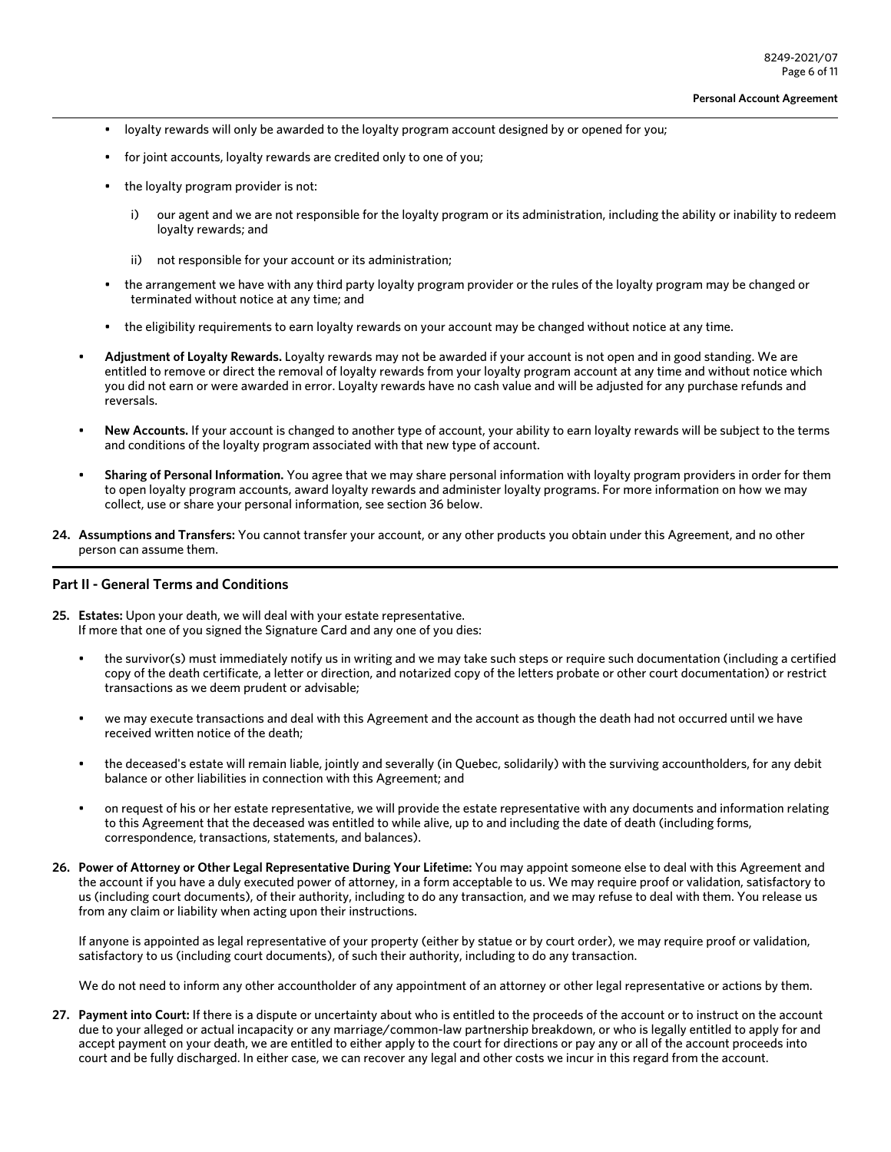- loyalty rewards will only be awarded to the loyalty program account designed by or opened for you;
- for joint accounts, loyalty rewards are credited only to one of you;
- the loyalty program provider is not:
	- i) our agent and we are not responsible for the loyalty program or its administration, including the ability or inability to redeem loyalty rewards; and
	- ii) not responsible for your account or its administration;
- the arrangement we have with any third party loyalty program provider or the rules of the loyalty program may be changed or terminated without notice at any time; and
- the eligibility requirements to earn loyalty rewards on your account may be changed without notice at any time.
- **Adjustment of Loyalty Rewards.** Loyalty rewards may not be awarded if your account is not open and in good standing. We are entitled to remove or direct the removal of loyalty rewards from your loyalty program account at any time and without notice which you did not earn or were awarded in error. Loyalty rewards have no cash value and will be adjusted for any purchase refunds and reversals.
- **New Accounts.** If your account is changed to another type of account, your ability to earn loyalty rewards will be subject to the terms and conditions of the loyalty program associated with that new type of account.
- **Sharing of Personal Information.** You agree that we may share personal information with loyalty program providers in order for them to open loyalty program accounts, award loyalty rewards and administer loyalty programs. For more information on how we may collect, use or share your personal information, see section 36 below.
- **24. Assumptions and Transfers:** You cannot transfer your account, or any other products you obtain under this Agreement, and no other person can assume them.

### **Part II - General Terms and Conditions**

- **25. Estates:** Upon your death, we will deal with your estate representative. If more that one of you signed the Signature Card and any one of you dies:
	- the survivor(s) must immediately notify us in writing and we may take such steps or require such documentation (including a certified copy of the death certificate, a letter or direction, and notarized copy of the letters probate or other court documentation) or restrict transactions as we deem prudent or advisable;
	- we may execute transactions and deal with this Agreement and the account as though the death had not occurred until we have received written notice of the death;
	- the deceased's estate will remain liable, jointly and severally (in Quebec, solidarily) with the surviving accountholders, for any debit balance or other liabilities in connection with this Agreement; and
	- on request of his or her estate representative, we will provide the estate representative with any documents and information relating to this Agreement that the deceased was entitled to while alive, up to and including the date of death (including forms, correspondence, transactions, statements, and balances).
- **26. Power of Attorney or Other Legal Representative During Your Lifetime:** You may appoint someone else to deal with this Agreement and the account if you have a duly executed power of attorney, in a form acceptable to us. We may require proof or validation, satisfactory to us (including court documents), of their authority, including to do any transaction, and we may refuse to deal with them. You release us from any claim or liability when acting upon their instructions.

If anyone is appointed as legal representative of your property (either by statue or by court order), we may require proof or validation, satisfactory to us (including court documents), of such their authority, including to do any transaction.

We do not need to inform any other accountholder of any appointment of an attorney or other legal representative or actions by them.

**27. Payment into Court:** If there is a dispute or uncertainty about who is entitled to the proceeds of the account or to instruct on the account due to your alleged or actual incapacity or any marriage/common-law partnership breakdown, or who is legally entitled to apply for and accept payment on your death, we are entitled to either apply to the court for directions or pay any or all of the account proceeds into court and be fully discharged. In either case, we can recover any legal and other costs we incur in this regard from the account.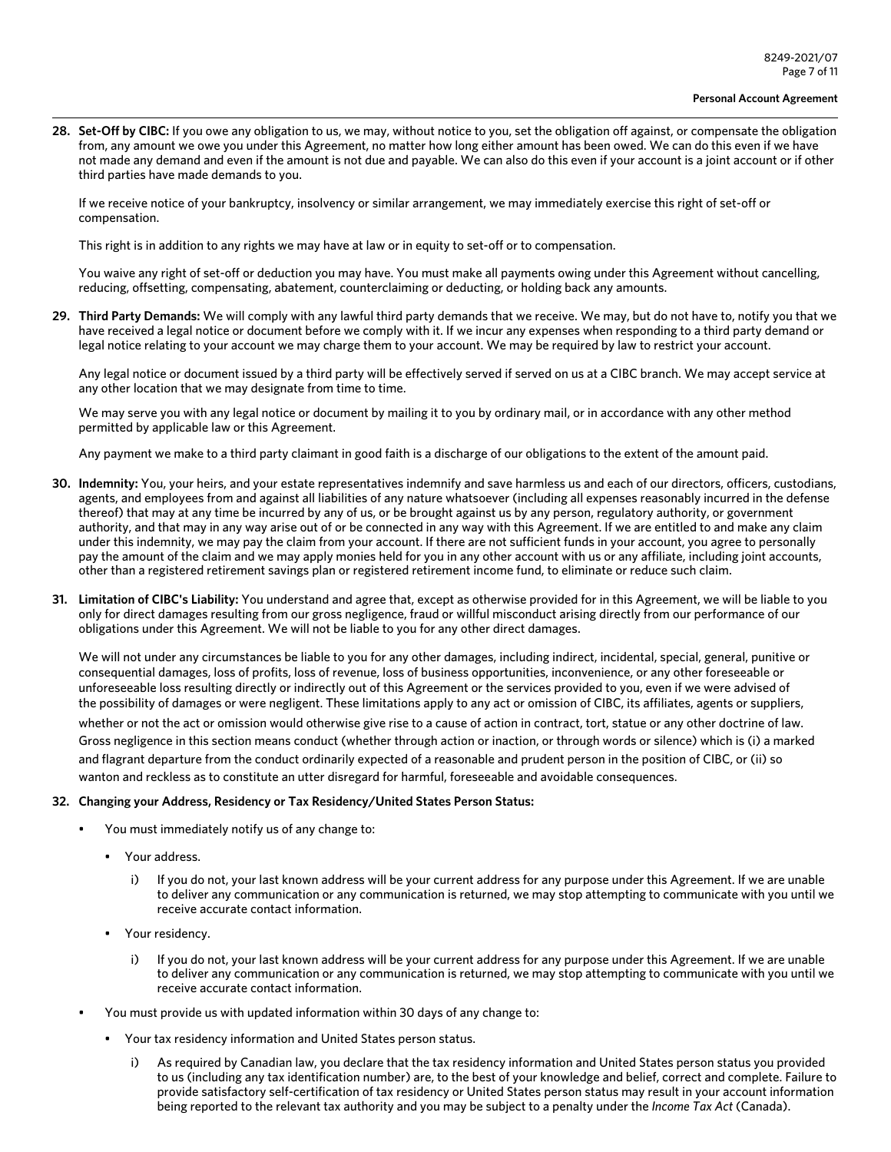**28. Set-Off by CIBC:** If you owe any obligation to us, we may, without notice to you, set the obligation off against, or compensate the obligation from, any amount we owe you under this Agreement, no matter how long either amount has been owed. We can do this even if we have not made any demand and even if the amount is not due and payable. We can also do this even if your account is a joint account or if other third parties have made demands to you.

If we receive notice of your bankruptcy, insolvency or similar arrangement, we may immediately exercise this right of set-off or compensation.

This right is in addition to any rights we may have at law or in equity to set-off or to compensation.

You waive any right of set-off or deduction you may have. You must make all payments owing under this Agreement without cancelling, reducing, offsetting, compensating, abatement, counterclaiming or deducting, or holding back any amounts.

**29. Third Party Demands:** We will comply with any lawful third party demands that we receive. We may, but do not have to, notify you that we have received a legal notice or document before we comply with it. If we incur any expenses when responding to a third party demand or legal notice relating to your account we may charge them to your account. We may be required by law to restrict your account.

Any legal notice or document issued by a third party will be effectively served if served on us at a CIBC branch. We may accept service at any other location that we may designate from time to time.

We may serve you with any legal notice or document by mailing it to you by ordinary mail, or in accordance with any other method permitted by applicable law or this Agreement.

Any payment we make to a third party claimant in good faith is a discharge of our obligations to the extent of the amount paid.

- **30. Indemnity:** You, your heirs, and your estate representatives indemnify and save harmless us and each of our directors, officers, custodians, agents, and employees from and against all liabilities of any nature whatsoever (including all expenses reasonably incurred in the defense thereof) that may at any time be incurred by any of us, or be brought against us by any person, regulatory authority, or government authority, and that may in any way arise out of or be connected in any way with this Agreement. If we are entitled to and make any claim under this indemnity, we may pay the claim from your account. If there are not sufficient funds in your account, you agree to personally pay the amount of the claim and we may apply monies held for you in any other account with us or any affiliate, including joint accounts, other than a registered retirement savings plan or registered retirement income fund, to eliminate or reduce such claim.
- **31. Limitation of CIBC's Liability:** You understand and agree that, except as otherwise provided for in this Agreement, we will be liable to you only for direct damages resulting from our gross negligence, fraud or willful misconduct arising directly from our performance of our obligations under this Agreement. We will not be liable to you for any other direct damages.

We will not under any circumstances be liable to you for any other damages, including indirect, incidental, special, general, punitive or consequential damages, loss of profits, loss of revenue, loss of business opportunities, inconvenience, or any other foreseeable or unforeseeable loss resulting directly or indirectly out of this Agreement or the services provided to you, even if we were advised of the possibility of damages or were negligent. These limitations apply to any act or omission of CIBC, its affiliates, agents or suppliers,

whether or not the act or omission would otherwise give rise to a cause of action in contract, tort, statue or any other doctrine of law. Gross negligence in this section means conduct (whether through action or inaction, or through words or silence) which is (i) a marked and flagrant departure from the conduct ordinarily expected of a reasonable and prudent person in the position of CIBC, or (ii) so wanton and reckless as to constitute an utter disregard for harmful, foreseeable and avoidable consequences.

#### **32. Changing your Address, Residency or Tax Residency/United States Person Status:**

- You must immediately notify us of any change to:
	- Your address.
		- i) If you do not, your last known address will be your current address for any purpose under this Agreement. If we are unable to deliver any communication or any communication is returned, we may stop attempting to communicate with you until we receive accurate contact information.
	- Your residency.
		- If you do not, your last known address will be your current address for any purpose under this Agreement. If we are unable to deliver any communication or any communication is returned, we may stop attempting to communicate with you until we receive accurate contact information.
- You must provide us with updated information within 30 days of any change to:
	- Your tax residency information and United States person status.
		- i) As required by Canadian law, you declare that the tax residency information and United States person status you provided to us (including any tax identification number) are, to the best of your knowledge and belief, correct and complete. Failure to provide satisfactory self-certification of tax residency or United States person status may result in your account information being reported to the relevant tax authority and you may be subject to a penalty under the *Income Tax Act* (Canada).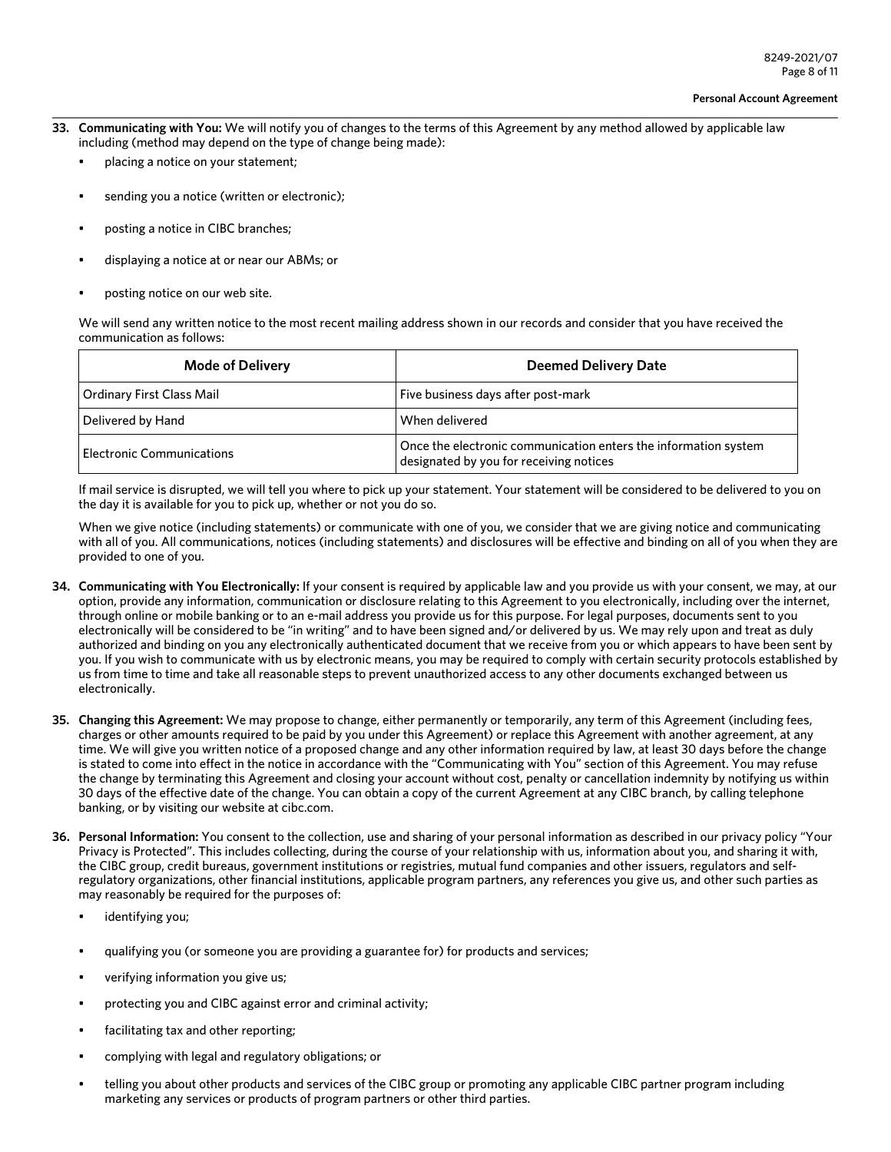- **33. Communicating with You:** We will notify you of changes to the terms of this Agreement by any method allowed by applicable law including (method may depend on the type of change being made):
	- placing a notice on your statement;
	- sending you a notice (written or electronic);
	- posting a notice in CIBC branches;
	- displaying a notice at or near our ABMs; or
	- posting notice on our web site.

We will send any written notice to the most recent mailing address shown in our records and consider that you have received the communication as follows:

| <b>Mode of Delivery</b>   | <b>Deemed Delivery Date</b>                                                                                |
|---------------------------|------------------------------------------------------------------------------------------------------------|
| Ordinary First Class Mail | Five business days after post-mark                                                                         |
| Delivered by Hand         | When delivered                                                                                             |
| Electronic Communications | Once the electronic communication enters the information system<br>designated by you for receiving notices |

If mail service is disrupted, we will tell you where to pick up your statement. Your statement will be considered to be delivered to you on the day it is available for you to pick up, whether or not you do so.

When we give notice (including statements) or communicate with one of you, we consider that we are giving notice and communicating with all of you. All communications, notices (including statements) and disclosures will be effective and binding on all of you when they are provided to one of you.

- **34. Communicating with You Electronically:** If your consent is required by applicable law and you provide us with your consent, we may, at our option, provide any information, communication or disclosure relating to this Agreement to you electronically, including over the internet, through online or mobile banking or to an e-mail address you provide us for this purpose. For legal purposes, documents sent to you electronically will be considered to be "in writing" and to have been signed and/or delivered by us. We may rely upon and treat as duly authorized and binding on you any electronically authenticated document that we receive from you or which appears to have been sent by you. If you wish to communicate with us by electronic means, you may be required to comply with certain security protocols established by us from time to time and take all reasonable steps to prevent unauthorized access to any other documents exchanged between us electronically.
- **35. Changing this Agreement:** We may propose to change, either permanently or temporarily, any term of this Agreement (including fees, charges or other amounts required to be paid by you under this Agreement) or replace this Agreement with another agreement, at any time. We will give you written notice of a proposed change and any other information required by law, at least 30 days before the change is stated to come into effect in the notice in accordance with the "Communicating with You" section of this Agreement. You may refuse the change by terminating this Agreement and closing your account without cost, penalty or cancellation indemnity by notifying us within 30 days of the effective date of the change. You can obtain a copy of the current Agreement at any CIBC branch, by calling telephone banking, or by visiting our website at cibc.com.
- **36. Personal Information:** You consent to the collection, use and sharing of your personal information as described in our privacy policy "Your Privacy is Protected". This includes collecting, during the course of your relationship with us, information about you, and sharing it with, the CIBC group, credit bureaus, government institutions or registries, mutual fund companies and other issuers, regulators and selfregulatory organizations, other financial institutions, applicable program partners, any references you give us, and other such parties as may reasonably be required for the purposes of:
	- identifying you;
	- qualifying you (or someone you are providing a guarantee for) for products and services;
	- verifying information you give us;
	- protecting you and CIBC against error and criminal activity;
	- facilitating tax and other reporting;
	- complying with legal and regulatory obligations; or
	- telling you about other products and services of the CIBC group or promoting any applicable CIBC partner program including marketing any services or products of program partners or other third parties.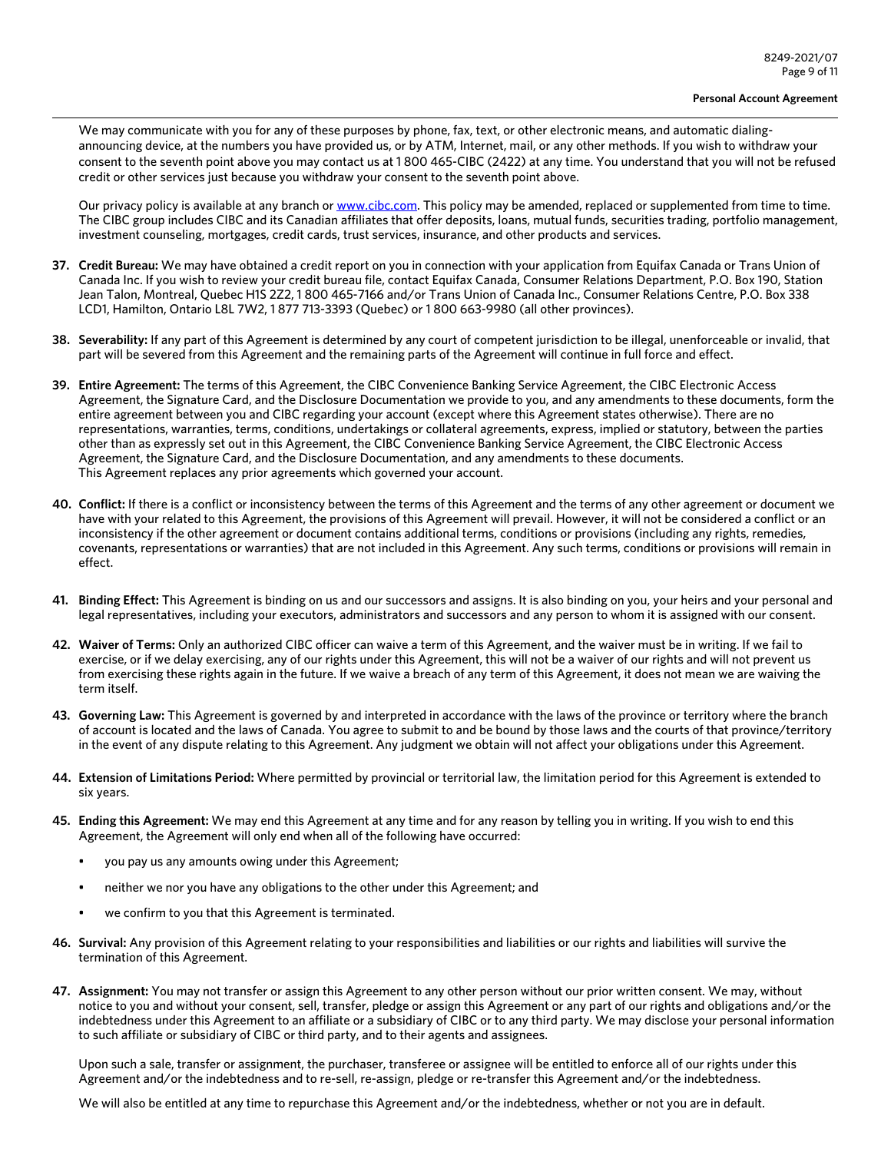We may communicate with you for any of these purposes by phone, fax, text, or other electronic means, and automatic dialingannouncing device, at the numbers you have provided us, or by ATM, Internet, mail, or any other methods. If you wish to withdraw your consent to the seventh point above you may contact us at 1 800 465-CIBC (2422) at any time. You understand that you will not be refused credit or other services just because you withdraw your consent to the seventh point above.

Our privacy policy is available at any branch or [www.cibc.com.](www.cibc.com) This policy may be amended, replaced or supplemented from time to time. The CIBC group includes CIBC and its Canadian affiliates that offer deposits, loans, mutual funds, securities trading, portfolio management, investment counseling, mortgages, credit cards, trust services, insurance, and other products and services.

- **37. Credit Bureau:** We may have obtained a credit report on you in connection with your application from Equifax Canada or Trans Union of Canada Inc. If you wish to review your credit bureau file, contact Equifax Canada, Consumer Relations Department, P.O. Box 190, Station Jean Talon, Montreal, Quebec H1S 2Z2, 1 800 465-7166 and/or Trans Union of Canada Inc., Consumer Relations Centre, P.O. Box 338 LCD1, Hamilton, Ontario L8L 7W2, 1 877 713-3393 (Quebec) or 1 800 663-9980 (all other provinces).
- **38. Severability:** If any part of this Agreement is determined by any court of competent jurisdiction to be illegal, unenforceable or invalid, that part will be severed from this Agreement and the remaining parts of the Agreement will continue in full force and effect.
- **39. Entire Agreement:** The terms of this Agreement, the CIBC Convenience Banking Service Agreement, the CIBC Electronic Access Agreement, the Signature Card, and the Disclosure Documentation we provide to you, and any amendments to these documents, form the entire agreement between you and CIBC regarding your account (except where this Agreement states otherwise). There are no representations, warranties, terms, conditions, undertakings or collateral agreements, express, implied or statutory, between the parties other than as expressly set out in this Agreement, the CIBC Convenience Banking Service Agreement, the CIBC Electronic Access Agreement, the Signature Card, and the Disclosure Documentation, and any amendments to these documents. This Agreement replaces any prior agreements which governed your account.
- **40. Conflict:** If there is a conflict or inconsistency between the terms of this Agreement and the terms of any other agreement or document we have with your related to this Agreement, the provisions of this Agreement will prevail. However, it will not be considered a conflict or an inconsistency if the other agreement or document contains additional terms, conditions or provisions (including any rights, remedies, covenants, representations or warranties) that are not included in this Agreement. Any such terms, conditions or provisions will remain in effect.
- **41. Binding Effect:** This Agreement is binding on us and our successors and assigns. It is also binding on you, your heirs and your personal and legal representatives, including your executors, administrators and successors and any person to whom it is assigned with our consent.
- **42. Waiver of Terms:** Only an authorized CIBC officer can waive a term of this Agreement, and the waiver must be in writing. If we fail to exercise, or if we delay exercising, any of our rights under this Agreement, this will not be a waiver of our rights and will not prevent us from exercising these rights again in the future. If we waive a breach of any term of this Agreement, it does not mean we are waiving the term itself.
- **43. Governing Law:** This Agreement is governed by and interpreted in accordance with the laws of the province or territory where the branch of account is located and the laws of Canada. You agree to submit to and be bound by those laws and the courts of that province/territory in the event of any dispute relating to this Agreement. Any judgment we obtain will not affect your obligations under this Agreement.
- **44. Extension of Limitations Period:** Where permitted by provincial or territorial law, the limitation period for this Agreement is extended to six years.
- **45. Ending this Agreement:** We may end this Agreement at any time and for any reason by telling you in writing. If you wish to end this Agreement, the Agreement will only end when all of the following have occurred:
	- you pay us any amounts owing under this Agreement;
	- neither we nor you have any obligations to the other under this Agreement; and
	- we confirm to you that this Agreement is terminated.
- **46. Survival:** Any provision of this Agreement relating to your responsibilities and liabilities or our rights and liabilities will survive the termination of this Agreement.
- **47. Assignment:** You may not transfer or assign this Agreement to any other person without our prior written consent. We may, without notice to you and without your consent, sell, transfer, pledge or assign this Agreement or any part of our rights and obligations and/or the indebtedness under this Agreement to an affiliate or a subsidiary of CIBC or to any third party. We may disclose your personal information to such affiliate or subsidiary of CIBC or third party, and to their agents and assignees.

Upon such a sale, transfer or assignment, the purchaser, transferee or assignee will be entitled to enforce all of our rights under this Agreement and/or the indebtedness and to re-sell, re-assign, pledge or re-transfer this Agreement and/or the indebtedness.

We will also be entitled at any time to repurchase this Agreement and/or the indebtedness, whether or not you are in default.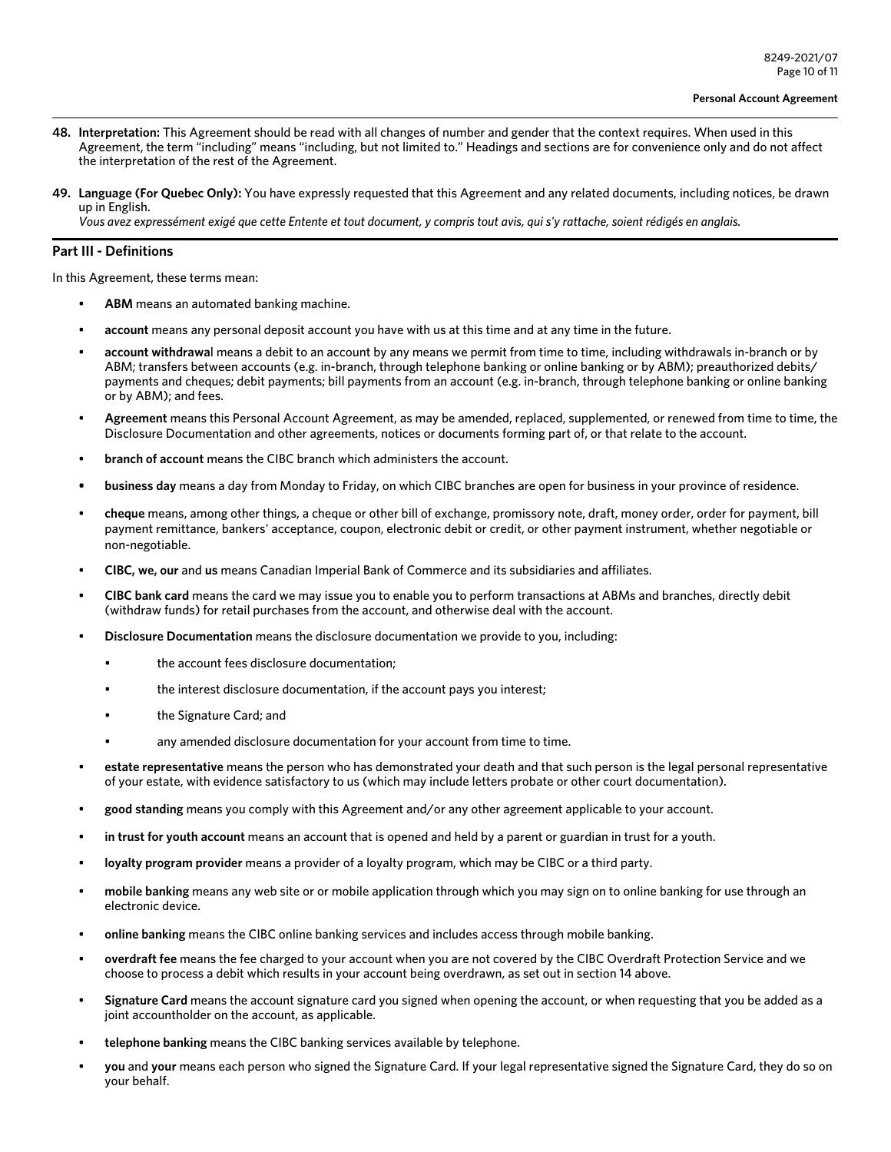- **48. Interpretation:** This Agreement should be read with all changes of number and gender that the context requires. When used in this Agreement, the term "including" means "including, but not limited to." Headings and sections are for convenience only and do not affect the interpretation of the rest of the Agreement.
- **49. Language (For Quebec Only):** You have expressly requested that this Agreement and any related documents, including notices, be drawn up in English.

*Vous avez expressément exigé que cette Entente et tout document, y compris tout avis, qui s'y rattache, soient rédigés en anglais.* 

### **Part III - Definitions**

In this Agreement, these terms mean:

- **ABM** means an automated banking machine.
- **account** means any personal deposit account you have with us at this time and at any time in the future.
- **account withdrawa**l means a debit to an account by any means we permit from time to time, including withdrawals in-branch or by ABM; transfers between accounts (e.g. in-branch, through telephone banking or online banking or by ABM); preauthorized debits/ payments and cheques; debit payments; bill payments from an account (e.g. in-branch, through telephone banking or online banking or by ABM); and fees.
- **Agreement** means this Personal Account Agreement, as may be amended, replaced, supplemented, or renewed from time to time, the Disclosure Documentation and other agreements, notices or documents forming part of, or that relate to the account.
- **branch of account** means the CIBC branch which administers the account.
- **• business day** means a day from Monday to Friday, on which CIBC branches are open for business in your province of residence.
- **cheque** means, among other things, a cheque or other bill of exchange, promissory note, draft, money order, order for payment, bill payment remittance, bankers' acceptance, coupon, electronic debit or credit, or other payment instrument, whether negotiable or non-negotiable.
- **CIBC, we, our** and **us** means Canadian Imperial Bank of Commerce and its subsidiaries and affiliates.
- **CIBC bank card** means the card we may issue you to enable you to perform transactions at ABMs and branches, directly debit (withdraw funds) for retail purchases from the account, and otherwise deal with the account.
- **Disclosure Documentation** means the disclosure documentation we provide to you, including:
	- the account fees disclosure documentation;
	- the interest disclosure documentation, if the account pays you interest;
	- the Signature Card; and
	- any amended disclosure documentation for your account from time to time.
- **estate representative** means the person who has demonstrated your death and that such person is the legal personal representative of your estate, with evidence satisfactory to us (which may include letters probate or other court documentation).
- **good standing** means you comply with this Agreement and/or any other agreement applicable to your account.
- **in trust for youth account** means an account that is opened and held by a parent or guardian in trust for a youth.
- **loyalty program provider** means a provider of a loyalty program, which may be CIBC or a third party.
- **mobile banking** means any web site or or mobile application through which you may sign on to online banking for use through an electronic device.
- **online banking** means the CIBC online banking services and includes access through mobile banking.
- **overdraft fee** means the fee charged to your account when you are not covered by the CIBC Overdraft Protection Service and we choose to process a debit which results in your account being overdrawn, as set out in section 14 above.
- **Signature Card** means the account signature card you signed when opening the account, or when requesting that you be added as a joint accountholder on the account, as applicable.
- **telephone banking** means the CIBC banking services available by telephone.
- **you** and **your** means each person who signed the Signature Card. If your legal representative signed the Signature Card, they do so on your behalf.